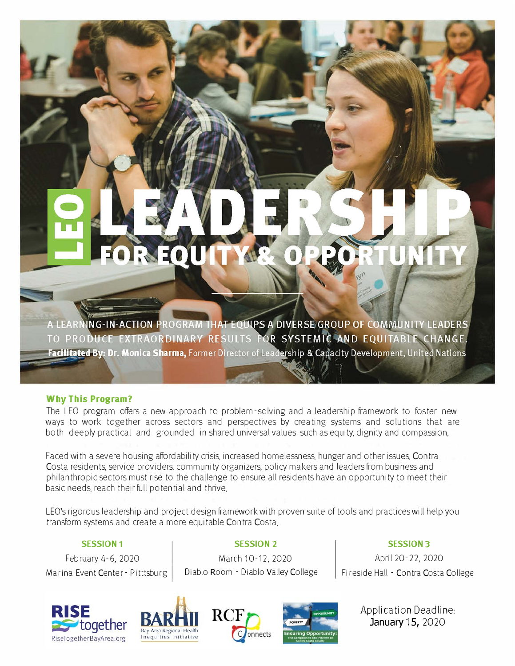# REQU

A LEARNING-IN-ACTION PROGRAM THAT EQUIPS A DIVERSE GROUP OF COMMUNITY LEADERS TO PRODUCE EXTRAORDINARY RESULTS FOR SYSTEMIC AND EQUITABLE CHANGE. Facilitated By: Dr. Monica Sharma, Former Director of Leadership & Capacity Development, United Nations

## **Why This Program?**

The LEO program offers a new approach to problem-solving and a leadership framework to foster new ways to work together across sectors and perspectives by creating systems and solutions that are both deeply practical and grounded in shared universal values such as equity, dignity and compassion.

Faced with a severe housing affordability crisis, increased homelessness, hunger and other issues, Contra Costa residents, service providers, community organizers, policy makers and leaders from business and philanthropic sectors must rise to the challenge to ensure all residents have an opportunity to meet their basic needs, reach their full potential and thrive.

LEO's rigorous leadership and project design framework with proven suite of tools and practices will help you transform systems and create a more equitable Contra Costa.

## **SESSION 1**

February 4-6, 2020

Diablo Room - Diablo Valley College March 10-12, 2020

**SESSION 2**

**SESSION 3**  April 20-22, 2020

Marina Event Center - Pitttsburg | Diablo Room - Diablo Valley College | Fireside Hall - Contra Costa College









Application Deadline: January 15, 2020